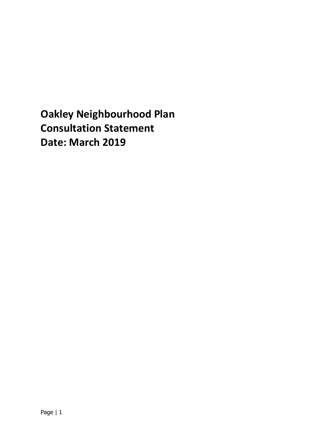**Oakley Neighbourhood Plan Consultation Statement Date: March 2019**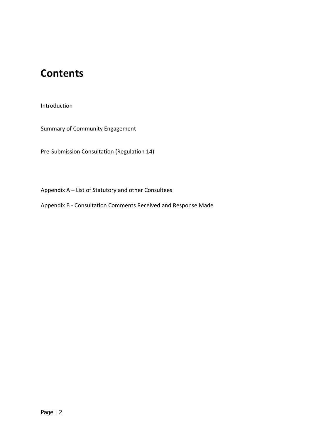## **Contents**

Introduction

Summary of Community Engagement

Pre-Submission Consultation (Regulation 14)

Appendix A – List of Statutory and other Consultees

Appendix B - Consultation Comments Received and Response Made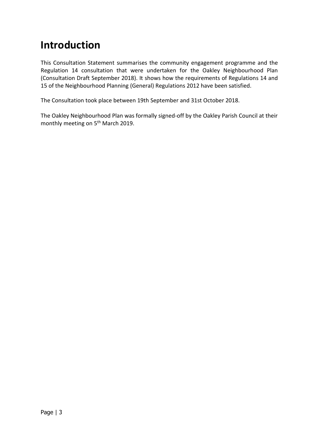## **Introduction**

This Consultation Statement summarises the community engagement programme and the Regulation 14 consultation that were undertaken for the Oakley Neighbourhood Plan (Consultation Draft September 2018). It shows how the requirements of Regulations 14 and 15 of the Neighbourhood Planning (General) Regulations 2012 have been satisfied.

The Consultation took place between 19th September and 31st October 2018.

The Oakley Neighbourhood Plan was formally signed-off by the Oakley Parish Council at their monthly meeting on 5<sup>th</sup> March 2019.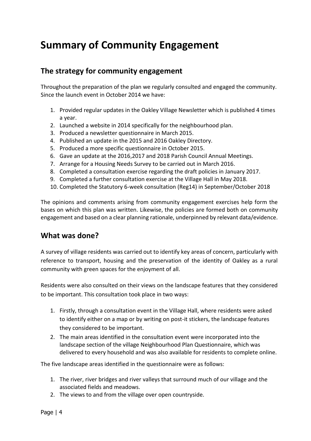# **Summary of Community Engagement**

#### **The strategy for community engagement**

Throughout the preparation of the plan we regularly consulted and engaged the community. Since the launch event in October 2014 we have:

- 1. Provided regular updates in the Oakley Village Newsletter which is published 4 times a year.
- 2. Launched a website in 2014 specifically for the neighbourhood plan.
- 3. Produced a newsletter questionnaire in March 2015.
- 4. Published an update in the 2015 and 2016 Oakley Directory.
- 5. Produced a more specific questionnaire in October 2015.
- 6. Gave an update at the 2016,2017 and 2018 Parish Council Annual Meetings.
- 7. Arrange for a Housing Needs Survey to be carried out in March 2016.
- 8. Completed a consultation exercise regarding the draft policies in January 2017.
- 9. Completed a further consultation exercise at the Village Hall in May 2018.
- 10. Completed the Statutory 6-week consultation (Reg14) in September/October 2018

The opinions and comments arising from community engagement exercises help form the bases on which this plan was written. Likewise, the policies are formed both on community engagement and based on a clear planning rationale, underpinned by relevant data/evidence.

#### **What was done?**

A survey of village residents was carried out to identify key areas of concern, particularly with reference to transport, housing and the preservation of the identity of Oakley as a rural community with green spaces for the enjoyment of all.

Residents were also consulted on their views on the landscape features that they considered to be important. This consultation took place in two ways:

- 1. Firstly, through a consultation event in the Village Hall, where residents were asked to identify either on a map or by writing on post-it stickers, the landscape features they considered to be important.
- 2. The main areas identified in the consultation event were incorporated into the landscape section of the village Neighbourhood Plan Questionnaire, which was delivered to every household and was also available for residents to complete online.

The five landscape areas identified in the questionnaire were as follows:

- 1. The river, river bridges and river valleys that surround much of our village and the associated fields and meadows.
- 2. The views to and from the village over open countryside.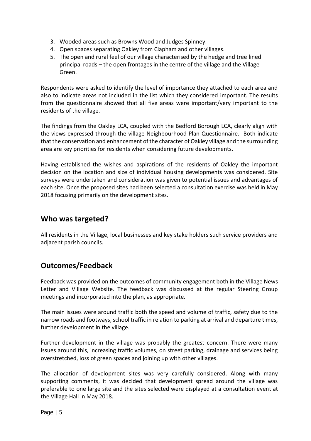- 3. Wooded areas such as Browns Wood and Judges Spinney.
- 4. Open spaces separating Oakley from Clapham and other villages.
- 5. The open and rural feel of our village characterised by the hedge and tree lined principal roads – the open frontages in the centre of the village and the Village Green.

Respondents were asked to identify the level of importance they attached to each area and also to indicate areas not included in the list which they considered important. The results from the questionnaire showed that all five areas were important/very important to the residents of the village.

The findings from the Oakley LCA, coupled with the Bedford Borough LCA, clearly align with the views expressed through the village Neighbourhood Plan Questionnaire. Both indicate that the conservation and enhancement of the character of Oakley village and the surrounding area are key priorities for residents when considering future developments.

Having established the wishes and aspirations of the residents of Oakley the important decision on the location and size of individual housing developments was considered. Site surveys were undertaken and consideration was given to potential issues and advantages of each site. Once the proposed sites had been selected a consultation exercise was held in May 2018 focusing primarily on the development sites.

#### **Who was targeted?**

All residents in the Village, local businesses and key stake holders such service providers and adjacent parish councils.

### **Outcomes/Feedback**

Feedback was provided on the outcomes of community engagement both in the Village News Letter and Village Website. The feedback was discussed at the regular Steering Group meetings and incorporated into the plan, as appropriate.

The main issues were around traffic both the speed and volume of traffic, safety due to the narrow roads and footways, school traffic in relation to parking at arrival and departure times, further development in the village.

Further development in the village was probably the greatest concern. There were many issues around this, increasing traffic volumes, on street parking, drainage and services being overstretched, loss of green spaces and joining up with other villages.

The allocation of development sites was very carefully considered. Along with many supporting comments, it was decided that development spread around the village was preferable to one large site and the sites selected were displayed at a consultation event at the Village Hall in May 2018.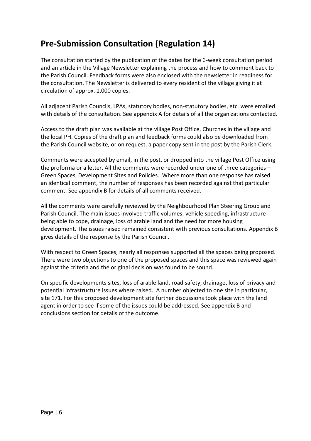### **Pre-Submission Consultation (Regulation 14)**

The consultation started by the publication of the dates for the 6-week consultation period and an article in the Village Newsletter explaining the process and how to comment back to the Parish Council. Feedback forms were also enclosed with the newsletter in readiness for the consultation. The Newsletter is delivered to every resident of the village giving it at circulation of approx. 1,000 copies.

All adjacent Parish Councils, LPAs, statutory bodies, non-statutory bodies, etc. were emailed with details of the consultation. See appendix A for details of all the organizations contacted.

Access to the draft plan was available at the village Post Office, Churches in the village and the local PH. Copies of the draft plan and feedback forms could also be downloaded from the Parish Council website, or on request, a paper copy sent in the post by the Parish Clerk.

Comments were accepted by email, in the post, or dropped into the village Post Office using the proforma or a letter. All the comments were recorded under one of three categories – Green Spaces, Development Sites and Policies. Where more than one response has raised an identical comment, the number of responses has been recorded against that particular comment. See appendix B for details of all comments received.

All the comments were carefully reviewed by the Neighbourhood Plan Steering Group and Parish Council. The main issues involved traffic volumes, vehicle speeding, infrastructure being able to cope, drainage, loss of arable land and the need for more housing development. The issues raised remained consistent with previous consultations. Appendix B gives details of the response by the Parish Council.

With respect to Green Spaces, nearly all responses supported all the spaces being proposed. There were two objections to one of the proposed spaces and this space was reviewed again against the criteria and the original decision was found to be sound.

On specific developments sites, loss of arable land, road safety, drainage, loss of privacy and potential infrastructure issues where raised. A number objected to one site in particular, site 171. For this proposed development site further discussions took place with the land agent in order to see if some of the issues could be addressed. See appendix B and conclusions section for details of the outcome.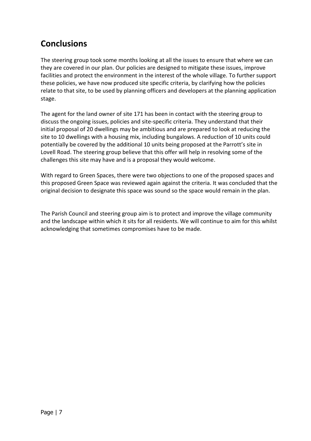### **Conclusions**

The steering group took some months looking at all the issues to ensure that where we can they are covered in our plan. Our policies are designed to mitigate these issues, improve facilities and protect the environment in the interest of the whole village. To further support these policies, we have now produced site specific criteria, by clarifying how the policies relate to that site, to be used by planning officers and developers at the planning application stage.

The agent for the land owner of site 171 has been in contact with the steering group to discuss the ongoing issues, policies and site-specific criteria. They understand that their initial proposal of 20 dwellings may be ambitious and are prepared to look at reducing the site to 10 dwellings with a housing mix, including bungalows. A reduction of 10 units could potentially be covered by the additional 10 units being proposed at the Parrott's site in Lovell Road. The steering group believe that this offer will help in resolving some of the challenges this site may have and is a proposal they would welcome.

With regard to Green Spaces, there were two objections to one of the proposed spaces and this proposed Green Space was reviewed again against the criteria. It was concluded that the original decision to designate this space was sound so the space would remain in the plan.

The Parish Council and steering group aim is to protect and improve the village community and the landscape within which it sits for all residents. We will continue to aim for this whilst acknowledging that sometimes compromises have to be made.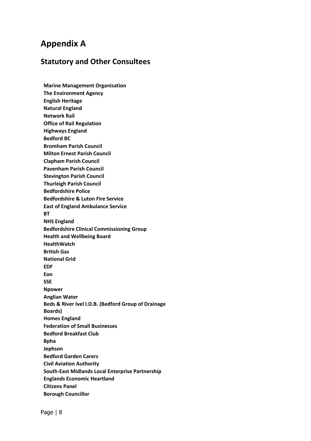### **Appendix A**

#### **Statutory and Other Consultees**

**Marine Management Organisation The Environment Agency English Heritage Natural England Network Rail Office of Rail Regulation Highways England Bedford BC Bromham Parish Council Milton Ernest Parish Council Clapham Parish Council Pavenham Parish Council Stevington Parish Council Thurleigh Parish Council Bedfordshire Police Bedfordshire & Luton Fire Service East of England Ambulance Service BT NHS England Bedfordshire Clinical Commissioning Group Health and Wellbeing Board HealthWatch British Gas National Grid EDF Eon SSE Npower Anglian Water Beds & River Ivel I.D.B. (Bedford Group of Drainage Boards) Homes England Federation of Small Businesses Bedford Breakfast Club Bpha Jephson Bedford Garden Carers Civil Aviation Authority South-East Midlands Local Enterprise Partnership Englands Economic Heartland Citizens Panel Borough Councillor**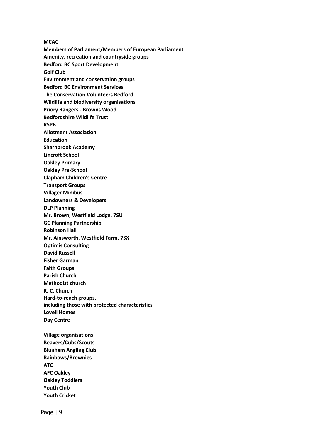**MCAC Members of Parliament/Members of European Parliament Amenity, recreation and countryside groups Bedford BC Sport Development Golf Club Environment and conservation groups Bedford BC Environment Services The Conservation Volunteers Bedford Wildlife and biodiversity organisations Priory Rangers - Browns Wood Bedfordshire Wildlife Trust RSPB Allotment Association Education Sharnbrook Academy Lincroft School Oakley Primary Oakley Pre-School Clapham Children's Centre Transport Groups Villager Minibus Landowners & Developers DLP Planning Mr. Brown, Westfield Lodge, 7SU GC Planning Partnership Robinson Hall Mr. Ainsworth, Westfield Farm, 7SX Optimis Consulting David Russell Fisher Garman Faith Groups Parish Church Methodist church R. C. Church Hard-to-reach groups, including those with protected characteristics Lovell Homes Day Centre Village organisations Beavers/Cubs/Scouts Blunham Angling Club Rainbows/Brownies ATC AFC Oakley Oakley Toddlers**

**Youth Club Youth Cricket**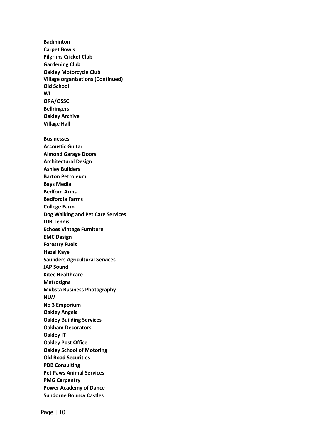**Badminton Carpet Bowls Pilgrims Cricket Club Gardening Club Oakley Motorcycle Club Village organisations (Continued) Old School WI ORA/OSSC Bellringers Oakley Archive Village Hall Businesses Accoustic Guitar Almond Garage Doors Architectural Design Ashley Builders Barton Petroleum Bays Media Bedford Arms Bedfordia Farms College Farm Dog Walking and Pet Care Services DJR Tennis Echoes Vintage Furniture EMC Design Forestry Fuels Hazel Kaye Saunders Agricultural Services JAP Sound Kitec Healthcare Metrosigns Mubsta Business Photography NLW No 3 Emporium Oakley Angels Oakley Building Services Oakham Decorators Oakley IT Oakley Post Office Oakley School of Motoring Old Road Securities PDB Consulting Pet Paws Animal Services PMG Carpentry Power Academy of Dance Sundorne Bouncy Castles**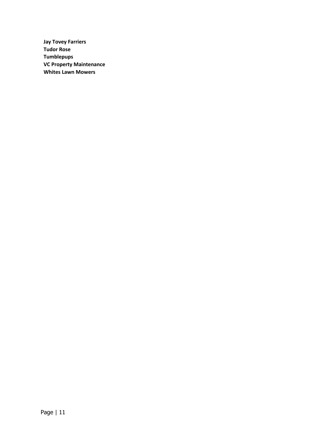**Jay Tovey Farriers Tudor Rose Tumblepups VC Property Maintenance Whites Lawn Mowers**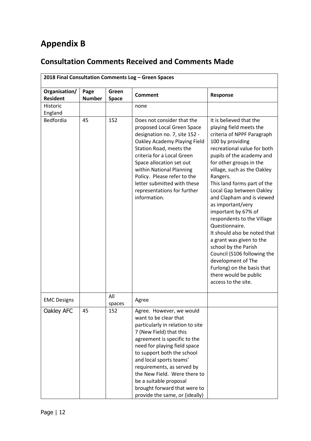## **Appendix B**

### **Consultation Comments Received and Comments Made**

|                                  |                       |                       | 2018 Final Consultation Comments Log - Green Spaces                                                                                                                                                                                                                                                                                                                                                 |                                                                                                                                                                                                                                                                                                                                                                                                                                                                                                                                                                                                                                                   |
|----------------------------------|-----------------------|-----------------------|-----------------------------------------------------------------------------------------------------------------------------------------------------------------------------------------------------------------------------------------------------------------------------------------------------------------------------------------------------------------------------------------------------|---------------------------------------------------------------------------------------------------------------------------------------------------------------------------------------------------------------------------------------------------------------------------------------------------------------------------------------------------------------------------------------------------------------------------------------------------------------------------------------------------------------------------------------------------------------------------------------------------------------------------------------------------|
| Organisation/<br><b>Resident</b> | Page<br><b>Number</b> | Green<br><b>Space</b> | <b>Comment</b>                                                                                                                                                                                                                                                                                                                                                                                      | Response                                                                                                                                                                                                                                                                                                                                                                                                                                                                                                                                                                                                                                          |
| Historic<br>England              |                       |                       | none                                                                                                                                                                                                                                                                                                                                                                                                |                                                                                                                                                                                                                                                                                                                                                                                                                                                                                                                                                                                                                                                   |
| Bedfordia                        | 45                    | 152                   | Does not consider that the<br>proposed Local Green Space<br>designation no. 7, site 152 -<br>Oakley Academy Playing Field<br>Station Road, meets the<br>criteria for a Local Green<br>Space allocation set out<br>within National Planning<br>Policy. Please refer to the<br>letter submitted with these<br>representations for further<br>information.                                             | It is believed that the<br>playing field meets the<br>criteria of NPPF Paragraph<br>100 by providing<br>recreational value for both<br>pupils of the academy and<br>for other groups in the<br>village, such as the Oakley<br>Rangers.<br>This land forms part of the<br>Local Gap between Oakley<br>and Clapham and is viewed<br>as important/very<br>important by 67% of<br>respondents to the Village<br>Questionnaire.<br>It should also be noted that<br>a grant was given to the<br>school by the Parish<br>Council (S106 following the<br>development of The<br>Furlong) on the basis that<br>there would be public<br>access to the site. |
| <b>EMC Designs</b>               |                       | All<br>spaces         | Agree                                                                                                                                                                                                                                                                                                                                                                                               |                                                                                                                                                                                                                                                                                                                                                                                                                                                                                                                                                                                                                                                   |
| Oakley AFC                       | 45                    | 152                   | Agree. However, we would<br>want to be clear that<br>particularly in relation to site<br>7 (New Field) that this<br>agreement is specific to the<br>need for playing field space<br>to support both the school<br>and local sports teams'<br>requirements, as served by<br>the New Field. Were there to<br>be a suitable proposal<br>brought forward that were to<br>provide the same, or (ideally) |                                                                                                                                                                                                                                                                                                                                                                                                                                                                                                                                                                                                                                                   |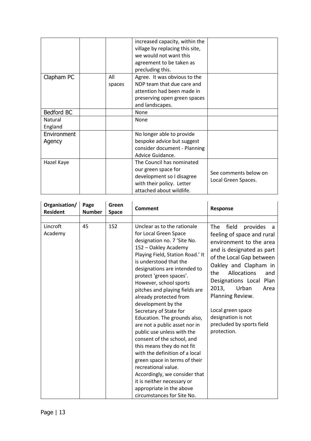|             |        | increased capacity, within the  |                       |
|-------------|--------|---------------------------------|-----------------------|
|             |        | village by replacing this site, |                       |
|             |        | we would not want this          |                       |
|             |        | agreement to be taken as        |                       |
|             |        | precluding this.                |                       |
| Clapham PC  | All    | Agree. It was obvious to the    |                       |
|             | spaces | NDP team that due care and      |                       |
|             |        | attention had been made in      |                       |
|             |        | preserving open green spaces    |                       |
|             |        | and landscapes.                 |                       |
| Bedford BC  |        | None                            |                       |
| Natural     |        | None                            |                       |
| England     |        |                                 |                       |
| Environment |        | No longer able to provide       |                       |
| Agency      |        | bespoke advice but suggest      |                       |
|             |        | consider document - Planning    |                       |
|             |        | Advice Guidance.                |                       |
| Hazel Kaye  |        | The Council has nominated       |                       |
|             |        | our green space for             |                       |
|             |        | development so I disagree       | See comments below on |
|             |        | with their policy. Letter       | Local Green Spaces.   |
|             |        | attached about wildlife.        |                       |

| Organisation/<br><b>Resident</b> | Page<br><b>Number</b> | Green<br><b>Space</b> | Comment                                                                                                                                                                                                                                                                                                                                                                                                                                                                                                                                                                                                                                                                                                                                                  | <b>Response</b>                                                                                                                                                                                                                                                                                                                                                                |
|----------------------------------|-----------------------|-----------------------|----------------------------------------------------------------------------------------------------------------------------------------------------------------------------------------------------------------------------------------------------------------------------------------------------------------------------------------------------------------------------------------------------------------------------------------------------------------------------------------------------------------------------------------------------------------------------------------------------------------------------------------------------------------------------------------------------------------------------------------------------------|--------------------------------------------------------------------------------------------------------------------------------------------------------------------------------------------------------------------------------------------------------------------------------------------------------------------------------------------------------------------------------|
|                                  |                       |                       |                                                                                                                                                                                                                                                                                                                                                                                                                                                                                                                                                                                                                                                                                                                                                          |                                                                                                                                                                                                                                                                                                                                                                                |
| Lincroft<br>Academy              | 45                    | 152                   | Unclear as to the rationale<br>for Local Green Space<br>designation no. 7 'Site No.<br>152 - Oakley Academy<br>Playing Field, Station Road.' It<br>is understood that the<br>designations are intended to<br>protect 'green spaces'.<br>However, school sports<br>pitches and playing fields are<br>already protected from<br>development by the<br>Secretary of State for<br>Education. The grounds also,<br>are not a public asset nor in<br>public use unless with the<br>consent of the school, and<br>this means they do not fit<br>with the definition of a local<br>green space in terms of their<br>recreational value.<br>Accordingly, we consider that<br>it is neither necessary or<br>appropriate in the above<br>circumstances for Site No. | <b>The</b><br>field<br>provides<br>- a<br>feeling of space and rural<br>environment to the area<br>and is designated as part<br>of the Local Gap between<br>Oakley and Clapham in<br>Allocations<br>the<br>and<br>Designations Local Plan<br>2013,<br>Urban<br>Area<br>Planning Review.<br>Local green space<br>designation is not<br>precluded by sports field<br>protection. |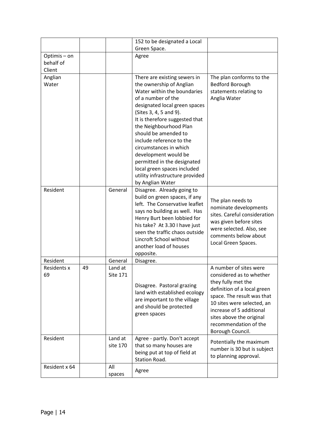|                    |    |          | 152 to be designated a Local                                   |                                                       |
|--------------------|----|----------|----------------------------------------------------------------|-------------------------------------------------------|
|                    |    |          | Green Space.                                                   |                                                       |
| Optimis-on         |    |          | Agree                                                          |                                                       |
| behalf of          |    |          |                                                                |                                                       |
| Client             |    |          |                                                                |                                                       |
| Anglian<br>Water   |    |          | There are existing sewers in<br>the ownership of Anglian       | The plan conforms to the<br><b>Bedford Borough</b>    |
|                    |    |          | Water within the boundaries                                    | statements relating to                                |
|                    |    |          | of a number of the                                             | Anglia Water                                          |
|                    |    |          | designated local green spaces                                  |                                                       |
|                    |    |          | (Sites 3, 4, 5 and 9).                                         |                                                       |
|                    |    |          | It is therefore suggested that                                 |                                                       |
|                    |    |          | the Neighbourhood Plan                                         |                                                       |
|                    |    |          | should be amended to                                           |                                                       |
|                    |    |          | include reference to the                                       |                                                       |
|                    |    |          | circumstances in which                                         |                                                       |
|                    |    |          | development would be                                           |                                                       |
|                    |    |          | permitted in the designated                                    |                                                       |
|                    |    |          | local green spaces included<br>utility infrastructure provided |                                                       |
|                    |    |          | by Anglian Water                                               |                                                       |
| Resident           |    | General  | Disagree. Already going to                                     |                                                       |
|                    |    |          | build on green spaces, if any                                  |                                                       |
|                    |    |          | left. The Conservative leaflet                                 | The plan needs to                                     |
|                    |    |          | says no building as well. Has                                  | nominate developments<br>sites. Careful consideration |
|                    |    |          | Henry Burt been lobbied for                                    | was given before sites                                |
|                    |    |          | his take? At 3.30 I have just                                  | were selected. Also, see                              |
|                    |    |          | seen the traffic chaos outside                                 | comments below about                                  |
|                    |    |          | Lincroft School without<br>another load of houses              | Local Green Spaces.                                   |
|                    |    |          | opposite.                                                      |                                                       |
| Resident           |    | General  | Disagree.                                                      |                                                       |
| <b>Residents x</b> | 49 | Land at  |                                                                | A number of sites were                                |
| 69                 |    | Site 171 |                                                                | considered as to whether                              |
|                    |    |          |                                                                | they fully met the                                    |
|                    |    |          | Disagree. Pastoral grazing<br>land with established ecology    | definition of a local green                           |
|                    |    |          | are important to the village                                   | space. The result was that                            |
|                    |    |          | and should be protected                                        | 10 sites were selected, an                            |
|                    |    |          | green spaces                                                   | increase of 5 additional                              |
|                    |    |          |                                                                | sites above the original<br>recommendation of the     |
|                    |    |          |                                                                | Borough Council.                                      |
| Resident           |    | Land at  | Agree - partly. Don't accept                                   |                                                       |
|                    |    | site 170 | that so many houses are                                        | Potentially the maximum                               |
|                    |    |          | being put at top of field at                                   | number is 30 but is subject                           |
|                    |    |          | <b>Station Road.</b>                                           | to planning approval.                                 |
| Resident x 64      |    | All      | Agree                                                          |                                                       |
|                    |    | spaces   |                                                                |                                                       |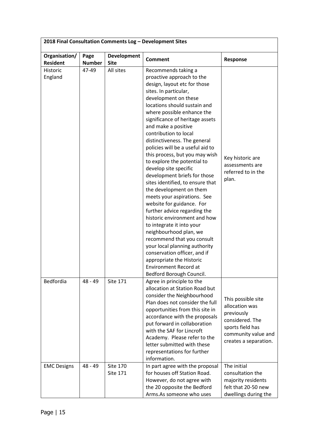| 2018 Final Consultation Comments Log - Development Sites |                       |                                   |                                                                                                                                                                                                                                                                                                                                                                                                                                                                                                                                                                                                                                                                                                                                                                                                                                                                                                                           |                                                                                                                                           |  |
|----------------------------------------------------------|-----------------------|-----------------------------------|---------------------------------------------------------------------------------------------------------------------------------------------------------------------------------------------------------------------------------------------------------------------------------------------------------------------------------------------------------------------------------------------------------------------------------------------------------------------------------------------------------------------------------------------------------------------------------------------------------------------------------------------------------------------------------------------------------------------------------------------------------------------------------------------------------------------------------------------------------------------------------------------------------------------------|-------------------------------------------------------------------------------------------------------------------------------------------|--|
| Organisation/<br><b>Resident</b>                         | Page<br><b>Number</b> | <b>Development</b><br><b>Site</b> | <b>Comment</b>                                                                                                                                                                                                                                                                                                                                                                                                                                                                                                                                                                                                                                                                                                                                                                                                                                                                                                            | Response                                                                                                                                  |  |
| <b>Historic</b><br>England                               | 47-49                 | All sites                         | Recommends taking a<br>proactive approach to the<br>design, layout etc for those<br>sites. In particular,<br>development on these<br>locations should sustain and<br>where possible enhance the<br>significance of heritage assets<br>and make a positive<br>contribution to local<br>distinctiveness. The general<br>policies will be a useful aid to<br>this process, but you may wish<br>to explore the potential to<br>develop site specific<br>development briefs for those<br>sites identified, to ensure that<br>the development on them<br>meets your aspirations. See<br>website for guidance. For<br>further advice regarding the<br>historic environment and how<br>to integrate it into your<br>neighbourhood plan, we<br>recommend that you consult<br>your local planning authority<br>conservation officer, and if<br>appropriate the Historic<br><b>Environment Record at</b><br>Bedford Borough Council. | Key historic are<br>assessments are<br>referred to in the<br>plan.                                                                        |  |
| Bedfordia                                                | $48 - 49$             | <b>Site 171</b>                   | Agree in principle to the<br>allocation at Station Road but<br>consider the Neighbourhood<br>Plan does not consider the full<br>opportunities from this site in<br>accordance with the proposals<br>put forward in collaboration<br>with the SAF for Lincroft<br>Academy. Please refer to the<br>letter submitted with these<br>representations for further<br>information.                                                                                                                                                                                                                                                                                                                                                                                                                                                                                                                                               | This possible site<br>allocation was<br>previously<br>considered. The<br>sports field has<br>community value and<br>creates a separation. |  |
| <b>EMC Designs</b>                                       | 48 - 49               | Site 170<br><b>Site 171</b>       | In part agree with the proposal<br>for houses off Station Road.<br>However, do not agree with<br>the 20 opposite the Bedford<br>Arms.As someone who uses                                                                                                                                                                                                                                                                                                                                                                                                                                                                                                                                                                                                                                                                                                                                                                  | The initial<br>consultation the<br>majority residents<br>felt that 20-50 new<br>dwellings during the                                      |  |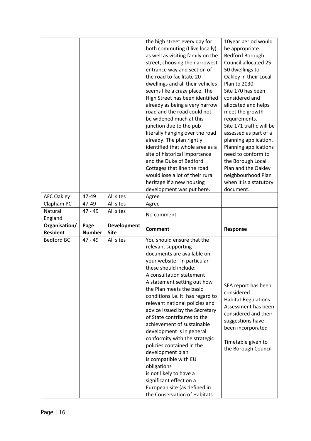|                   |               |                    | the high street every day for                           | 10year period would        |
|-------------------|---------------|--------------------|---------------------------------------------------------|----------------------------|
|                   |               |                    | both commuting (I live locally)                         | be appropriate.            |
|                   |               |                    | as well as visiting family on the                       | <b>Bedford Borough</b>     |
|                   |               |                    | street, choosing the narrowest                          | Council allocated 25-      |
|                   |               |                    | entrance way and section of                             | 50 dwellings to            |
|                   |               |                    | the road to facilitate 20                               | Oakley in their Local      |
|                   |               |                    | dwellings and all their vehicles                        | Plan to 2030.              |
|                   |               |                    | seems like a crazy place. The                           | Site 170 has been          |
|                   |               |                    | High Street has been identified                         | considered and             |
|                   |               |                    | already as being a very narrow                          | allocated and helps        |
|                   |               |                    | road and the road could not                             | meet the growth            |
|                   |               |                    | be widened much at this                                 | requirements.              |
|                   |               |                    | junction due to the pub                                 | Site 171 traffic will be   |
|                   |               |                    | literally hanging over the road                         | assessed as part of a      |
|                   |               |                    | already. The plan rightly                               | planning application.      |
|                   |               |                    | identified that whole area as a                         | Planning applications      |
|                   |               |                    | site of historical importance                           | need to conform to         |
|                   |               |                    | and the Duke of Bedford                                 | the Borough Local          |
|                   |               |                    | Cottages that line the road                             | Plan and the Oakley        |
|                   |               |                    | would lose a lot of their rural                         | neighbourhood Plan         |
|                   |               |                    | heritage if a new housing                               | when it is a statutory     |
|                   |               |                    | development was put here.                               | document.                  |
| <b>AFC Oakley</b> | 47-49         | All sites          | Agree                                                   |                            |
| Clapham PC        | 47-49         | All sites          | Agree                                                   |                            |
| Natural           | $47 - 49$     | All sites          |                                                         |                            |
|                   |               |                    | No comment                                              |                            |
|                   |               |                    |                                                         |                            |
| England           |               |                    |                                                         |                            |
| Organisation/     | Page          | <b>Development</b> | <b>Comment</b>                                          | Response                   |
| <b>Resident</b>   | <b>Number</b> | <b>Site</b>        |                                                         |                            |
| <b>Bedford BC</b> | 47 - 49       | All sites          | You should ensure that the                              |                            |
|                   |               |                    | relevant supporting                                     |                            |
|                   |               |                    | documents are available on                              |                            |
|                   |               |                    | your website. In particular                             |                            |
|                   |               |                    | these should include:                                   |                            |
|                   |               |                    | A consultation statement                                |                            |
|                   |               |                    | A statement setting out how                             | SEA report has been        |
|                   |               |                    | the Plan meets the basic                                | considered                 |
|                   |               |                    | conditions i.e. it: has regard to                       | <b>Habitat Regulations</b> |
|                   |               |                    | relevant national policies and                          | Assessment has been        |
|                   |               |                    | advice issued by the Secretary                          | considered and their       |
|                   |               |                    | of State contributes to the                             | suggestions have           |
|                   |               |                    | achievement of sustainable                              | been incorporated          |
|                   |               |                    | development is in general                               |                            |
|                   |               |                    | conformity with the strategic                           | Timetable given to         |
|                   |               |                    | policies contained in the                               | the Borough Council        |
|                   |               |                    | development plan                                        |                            |
|                   |               |                    | is compatible with EU                                   |                            |
|                   |               |                    | obligations                                             |                            |
|                   |               |                    | is not likely to have a                                 |                            |
|                   |               |                    | significant effect on a<br>European site (as defined in |                            |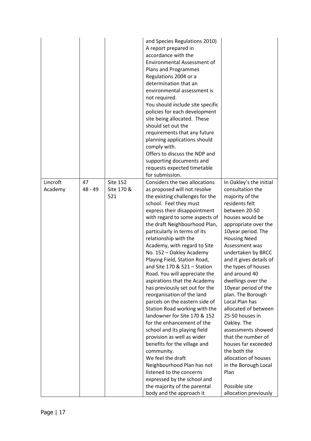|                     |                 |                                      | and Species Regulations 2010)<br>A report prepared in<br>accordance with the<br><b>Environmental Assessment of</b><br>Plans and Programmes<br>Regulations 2004 or a<br>determination that an<br>environmental assessment is<br>not required.<br>You should include site specific<br>policies for each development<br>site being allocated. These<br>should set out the<br>requirements that any future<br>planning applications should<br>comply with.<br>Offers to discuss the NDP and<br>supporting documents and<br>requests expected timetable<br>for submission.                                                                                                                                                                                                                                                                                                                                                                                                      |                                                                                                                                                                                                                                                                                                                                                                                                                                                                                                                                                                                                                                          |
|---------------------|-----------------|--------------------------------------|----------------------------------------------------------------------------------------------------------------------------------------------------------------------------------------------------------------------------------------------------------------------------------------------------------------------------------------------------------------------------------------------------------------------------------------------------------------------------------------------------------------------------------------------------------------------------------------------------------------------------------------------------------------------------------------------------------------------------------------------------------------------------------------------------------------------------------------------------------------------------------------------------------------------------------------------------------------------------|------------------------------------------------------------------------------------------------------------------------------------------------------------------------------------------------------------------------------------------------------------------------------------------------------------------------------------------------------------------------------------------------------------------------------------------------------------------------------------------------------------------------------------------------------------------------------------------------------------------------------------------|
| Lincroft<br>Academy | 47<br>$48 - 49$ | <b>Site 152</b><br>Site 170 &<br>521 | Considers the two allocations<br>as proposed will not resolve<br>the existing challenges for the<br>school. Feel they must<br>express their disappointment<br>with regard to some aspects of<br>the draft Neighbourhood Plan,<br>particularly in terms of its<br>relationship with the<br>Academy, with regard to Site<br>No. 152 - Oakley Academy<br>Playing Field, Station Road,<br>and Site 170 & 521 - Station<br>Road. You will appreciate the<br>aspirations that the Academy<br>has previously set out for the<br>reorganisation of the land<br>parcels on the eastern side of<br>Station Road working with the<br>landowner for Site 170 & 152<br>for the enhancement of the<br>school and its playing field<br>provision as well as wider<br>benefits for the village and<br>community.<br>We feel the draft<br>Neighbourhood Plan has not<br>listened to the concerns<br>expressed by the school and<br>the majority of the parental<br>body and the approach it | In Oakley's the initial<br>consultation the<br>majority of the<br>residents felt<br>between 20-50<br>houses would be<br>appropriate over the<br>10year period. The<br><b>Housing Need</b><br>Assessment was<br>undertaken by BRCC<br>and it gives details of<br>the types of houses<br>and around 40<br>dwellings over the<br>10year period of the<br>plan. The Borough<br>Local Plan has<br>allocated of between<br>25-50 houses in<br>Oakley. The<br>assessments showed<br>that the number of<br>houses far exceeded<br>the both the<br>allocation of houses<br>in the Borough Local<br>Plan<br>Possible site<br>allocation previously |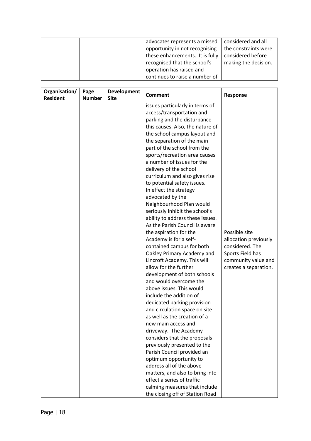|  | advocates represents a missed   | considered and all   |
|--|---------------------------------|----------------------|
|  | opportunity in not recognising  | the constraints were |
|  | these enhancements. It is fully | considered before    |
|  | recognised that the school's    | making the decision. |
|  | operation has raised and        |                      |
|  | continues to raise a number of  |                      |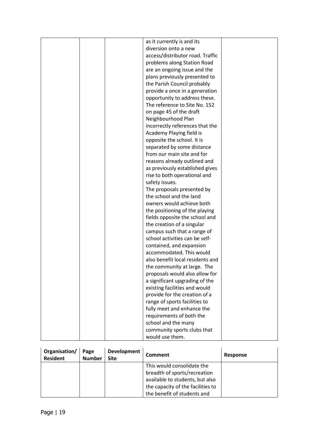|  | as it currently is and its       |  |
|--|----------------------------------|--|
|  | diversion onto a new             |  |
|  | access/distributor road. Traffic |  |
|  | problems along Station Road      |  |
|  | are an ongoing issue and the     |  |
|  | plans previously presented to    |  |
|  | the Parish Council probably      |  |
|  | provide a once in a generation   |  |
|  | opportunity to address these.    |  |
|  | The reference to Site No. 152    |  |
|  | on page 45 of the draft          |  |
|  | Neighbourhood Plan               |  |
|  | incorrectly references that the  |  |
|  | Academy Playing field is         |  |
|  | opposite the school. It is       |  |
|  | separated by some distance       |  |
|  | from our main site and for       |  |
|  | reasons already outlined and     |  |
|  | as previously established gives  |  |
|  | rise to both operational and     |  |
|  | safety issues.                   |  |
|  | The proposals presented by       |  |
|  | the school and the land          |  |
|  | owners would achieve both        |  |
|  | the positioning of the playing   |  |
|  | fields opposite the school and   |  |
|  | the creation of a singular       |  |
|  | campus such that a range of      |  |
|  | school activities can be self-   |  |
|  | contained, and expansion         |  |
|  | accommodated. This would         |  |
|  | also benefit local residents and |  |
|  | the community at large. The      |  |
|  | proposals would also allow for   |  |
|  | a significant upgrading of the   |  |
|  | existing facilities and would    |  |
|  | provide for the creation of a    |  |
|  | range of sports facilities to    |  |
|  | fully meet and enhance the       |  |
|  | requirements of both the         |  |
|  | school and the many              |  |
|  | community sports clubs that      |  |
|  | would use them.                  |  |
|  |                                  |  |

| Organisation/<br><b>Resident</b> | Page<br><b>Number</b> | Development<br><b>Site</b> | <b>Comment</b>                    | Response |
|----------------------------------|-----------------------|----------------------------|-----------------------------------|----------|
|                                  |                       |                            | This would consolidate the        |          |
|                                  |                       |                            | breadth of sports/recreation      |          |
|                                  |                       |                            | available to students, but also   |          |
|                                  |                       |                            | the capacity of the facilities to |          |
|                                  |                       |                            | the benefit of students and       |          |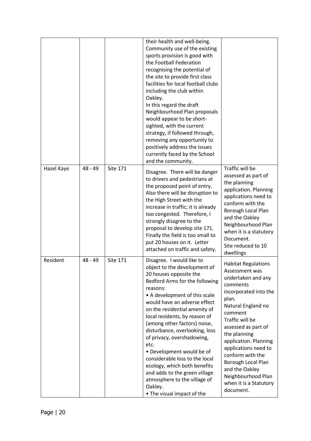|            |           |                 | their health and well-being.<br>Community use of the existing<br>sports provision is good with<br>the Football Federation<br>recognising the potential of<br>the site to provide first class<br>facilities for local football clubs<br>including the club within<br>Oakley.<br>In this regard the draft<br>Neighbourhood Plan proposals<br>would appear to be short-<br>sighted, with the current<br>strategy, if followed through,<br>removing any opportunity to<br>positively address the issues<br>currently faced by the School<br>and the community.                            |                                                                                                                                                                                                                                                                                                                                                                                       |
|------------|-----------|-----------------|---------------------------------------------------------------------------------------------------------------------------------------------------------------------------------------------------------------------------------------------------------------------------------------------------------------------------------------------------------------------------------------------------------------------------------------------------------------------------------------------------------------------------------------------------------------------------------------|---------------------------------------------------------------------------------------------------------------------------------------------------------------------------------------------------------------------------------------------------------------------------------------------------------------------------------------------------------------------------------------|
| Hazel Kaye | $48 - 49$ | Site 171        | Disagree. There will be danger<br>to drivers and pedestrians at<br>the proposed point of entry.<br>Also there will be disruption to<br>the High Street with the<br>increase in traffic; it is already<br>too congested. Therefore, I<br>strongly disagree to the<br>proposal to develop site 171.<br>Finally the field is too small to<br>put 20 houses on it. Letter<br>attached on traffic and safety.                                                                                                                                                                              | Traffic will be<br>assessed as part of<br>the planning<br>application. Planning<br>applications need to<br>conform with the<br>Borough Local Plan<br>and the Oakley<br>Neighbourhood Plan<br>when it is a statutory<br>Document.<br>Site reduced to 10<br>dwellings                                                                                                                   |
| Resident   | $48 - 49$ | <b>Site 171</b> | Disagree. I would like to<br>object to the development of<br>20 houses opposite the<br>Bedford Arms for the following<br>reasons:<br>• A development of this scale<br>would have an adverse effect<br>on the residential amenity of<br>local residents, by reason of<br>(among other factors) noise,<br>disturbance, overlooking, loss<br>of privacy, overshadowing,<br>etc.<br>• Development would be of<br>considerable loss to the local<br>ecology, which both benefits<br>and adds to the green village<br>atmosphere to the village of<br>Oakley.<br>• The visual impact of the | <b>Habitat Regulations</b><br>Assessment was<br>undertaken and any<br>comments<br>incorporated into the<br>plan.<br>Natural England no<br>comment<br>Traffic will be<br>assessed as part of<br>the planning<br>application. Planning<br>applications need to<br>conform with the<br>Borough Local Plan<br>and the Oakley<br>Neighbourhood Plan<br>when it is a Statutory<br>document. |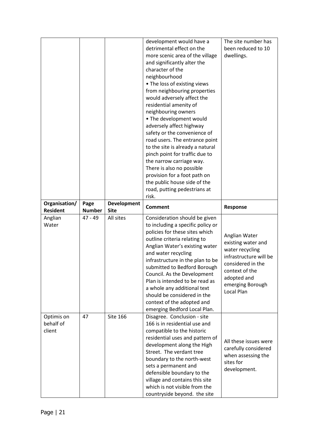|                                   |                       |                                   | development would have a<br>detrimental effect on the<br>more scenic area of the village<br>and significantly alter the<br>character of the<br>neighbourhood<br>• The loss of existing views<br>from neighbouring properties<br>would adversely affect the<br>residential amenity of<br>neighbouring owners<br>• The development would<br>adversely affect highway<br>safety or the convenience of<br>road users. The entrance point<br>to the site is already a natural<br>pinch point for traffic due to<br>the narrow carriage way.<br>There is also no possible<br>provision for a foot path on<br>the public house side of the<br>road, putting pedestrians at<br>risk. | The site number has<br>been reduced to 10<br>dwellings.                                                                                                                  |
|-----------------------------------|-----------------------|-----------------------------------|------------------------------------------------------------------------------------------------------------------------------------------------------------------------------------------------------------------------------------------------------------------------------------------------------------------------------------------------------------------------------------------------------------------------------------------------------------------------------------------------------------------------------------------------------------------------------------------------------------------------------------------------------------------------------|--------------------------------------------------------------------------------------------------------------------------------------------------------------------------|
| Organisation/<br><b>Resident</b>  | Page<br><b>Number</b> | <b>Development</b><br><b>Site</b> | <b>Comment</b>                                                                                                                                                                                                                                                                                                                                                                                                                                                                                                                                                                                                                                                               | Response                                                                                                                                                                 |
| Anglian<br>Water                  | $47 - 49$             | All sites                         | Consideration should be given<br>to including a specific policy or<br>policies for these sites which<br>outline criteria relating to<br>Anglian Water's existing water<br>and water recycling<br>infrastructure in the plan to be<br>submitted to Bedford Borough<br>Council. As the Development<br>Plan is intended to be read as<br>a whole any additional text<br>should be considered in the<br>context of the adopted and<br>emerging Bedford Local Plan.                                                                                                                                                                                                               | Anglian Water<br>existing water and<br>water recycling<br>infrastructure will be<br>considered in the<br>context of the<br>adopted and<br>emerging Borough<br>Local Plan |
| Optimis on<br>behalf of<br>client | 47                    | <b>Site 166</b>                   | Disagree. Conclusion - site<br>166 is in residential use and<br>compatible to the historic<br>residential uses and pattern of<br>development along the High<br>Street. The verdant tree<br>boundary to the north-west<br>sets a permanent and<br>defensible boundary to the<br>village and contains this site                                                                                                                                                                                                                                                                                                                                                                | All these issues were<br>carefully considered<br>when assessing the<br>sites for<br>development.                                                                         |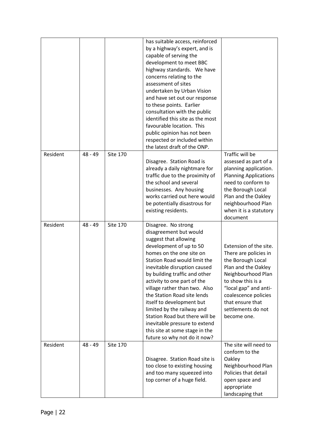|          |           |                 | has suitable access, reinforced<br>by a highway's expert, and is<br>capable of serving the<br>development to meet BBC<br>highway standards. We have<br>concerns relating to the<br>assessment of sites<br>undertaken by Urban Vision<br>and have set out our response<br>to these points. Earlier<br>consultation with the public<br>identified this site as the most<br>favourable location. This<br>public opinion has not been<br>respected or included within<br>the latest draft of the ONP.                             |                                                                                                                                                                                                                                                  |
|----------|-----------|-----------------|-------------------------------------------------------------------------------------------------------------------------------------------------------------------------------------------------------------------------------------------------------------------------------------------------------------------------------------------------------------------------------------------------------------------------------------------------------------------------------------------------------------------------------|--------------------------------------------------------------------------------------------------------------------------------------------------------------------------------------------------------------------------------------------------|
| Resident | $48 - 49$ | <b>Site 170</b> | Disagree. Station Road is<br>already a daily nightmare for<br>traffic due to the proximity of<br>the school and several<br>businesses. Any housing<br>works carried out here would<br>be potentially disastrous for<br>existing residents.                                                                                                                                                                                                                                                                                    | Traffic will be<br>assessed as part of a<br>planning application.<br><b>Planning Applications</b><br>need to conform to<br>the Borough Local<br>Plan and the Oakley<br>neighbourhood Plan<br>when it is a statutory<br>document                  |
| Resident | $48 - 49$ | <b>Site 170</b> | Disagree. No strong<br>disagreement but would<br>suggest that allowing<br>development of up to 50<br>homes on the one site on<br>Station Road would limit the<br>inevitable disruption caused<br>by building traffic and other<br>activity to one part of the<br>village rather than two. Also<br>the Station Road site lends<br>itself to development but<br>limited by the railway and<br>Station Road but there will be<br>inevitable pressure to extend<br>this site at some stage in the<br>future so why not do it now? | Extension of the site.<br>There are policies in<br>the Borough Local<br>Plan and the Oakley<br>Neighbourhood Plan<br>to show this is a<br>"local gap" and anti-<br>coalescence policies<br>that ensure that<br>settlements do not<br>become one. |
| Resident | $48 - 49$ | <b>Site 170</b> | Disagree. Station Road site is<br>too close to existing housing<br>and too many squeezed into<br>top corner of a huge field.                                                                                                                                                                                                                                                                                                                                                                                                  | The site will need to<br>conform to the<br>Oakley<br>Neighbourhood Plan<br>Policies that detail<br>open space and<br>appropriate<br>landscaping that                                                                                             |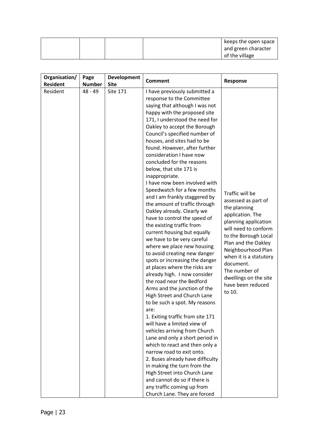|  |  | keeps the open space |
|--|--|----------------------|
|  |  | and green character  |
|  |  | of the village       |

| Organisation/   | Page          | Development     |                                                                                                                                                                                                                                                                                                                                                                                                                                                                                                                                                                                                                                                                                                                                                                                                                                                                                                                                                                                                                                                                                                                                                                                                                                                                                                                                                                                                              |                                                                                                                                                                                                                                                                                                                 |
|-----------------|---------------|-----------------|--------------------------------------------------------------------------------------------------------------------------------------------------------------------------------------------------------------------------------------------------------------------------------------------------------------------------------------------------------------------------------------------------------------------------------------------------------------------------------------------------------------------------------------------------------------------------------------------------------------------------------------------------------------------------------------------------------------------------------------------------------------------------------------------------------------------------------------------------------------------------------------------------------------------------------------------------------------------------------------------------------------------------------------------------------------------------------------------------------------------------------------------------------------------------------------------------------------------------------------------------------------------------------------------------------------------------------------------------------------------------------------------------------------|-----------------------------------------------------------------------------------------------------------------------------------------------------------------------------------------------------------------------------------------------------------------------------------------------------------------|
| <b>Resident</b> | <b>Number</b> | <b>Site</b>     | <b>Comment</b>                                                                                                                                                                                                                                                                                                                                                                                                                                                                                                                                                                                                                                                                                                                                                                                                                                                                                                                                                                                                                                                                                                                                                                                                                                                                                                                                                                                               | Response                                                                                                                                                                                                                                                                                                        |
|                 |               |                 |                                                                                                                                                                                                                                                                                                                                                                                                                                                                                                                                                                                                                                                                                                                                                                                                                                                                                                                                                                                                                                                                                                                                                                                                                                                                                                                                                                                                              |                                                                                                                                                                                                                                                                                                                 |
| Resident        | $48 - 49$     | <b>Site 171</b> | I have previously submitted a<br>response to the Committee<br>saying that although I was not<br>happy with the proposed site<br>171, I understood the need for<br>Oakley to accept the Borough<br>Council's specified number of<br>houses, and sites had to be<br>found. However, after further<br>consideration I have now<br>concluded for the reasons<br>below, that site 171 is<br>inappropriate.<br>I have now been involved with<br>Speedwatch for a few months<br>and I am frankly staggered by<br>the amount of traffic through<br>Oakley already. Clearly we<br>have to control the speed of<br>the existing traffic from<br>current housing but equally<br>we have to be very careful<br>where we place new housing<br>to avoid creating new danger<br>spots or increasing the danger<br>at places where the risks are<br>already high. I now consider<br>the road near the Bedford<br>Arms and the junction of the<br>High Street and Church Lane<br>to be such a spot. My reasons<br>are:<br>1. Exiting traffic from site 171<br>will have a limited view of<br>vehicles arriving from Church<br>Lane and only a short period in<br>which to react and then only a<br>narrow road to exit onto.<br>2. Buses already have difficulty<br>in making the turn from the<br>High Street into Church Lane<br>and cannot do so if there is<br>any traffic coming up from<br>Church Lane. They are forced | Traffic will be<br>assessed as part of<br>the planning<br>application. The<br>planning application<br>will need to conform<br>to the Borough Local<br>Plan and the Oakley<br>Neighbourhood Plan<br>when it is a statutory<br>document.<br>The number of<br>dwellings on the site<br>have been reduced<br>to 10. |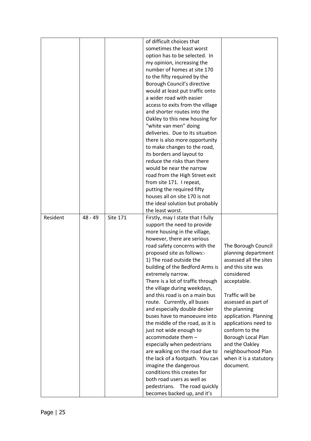|          |         |          | of difficult choices that                                   |                        |
|----------|---------|----------|-------------------------------------------------------------|------------------------|
|          |         |          | sometimes the least worst                                   |                        |
|          |         |          |                                                             |                        |
|          |         |          | option has to be selected. In                               |                        |
|          |         |          | my opinion, increasing the                                  |                        |
|          |         |          | number of homes at site 170                                 |                        |
|          |         |          | to the fifty required by the                                |                        |
|          |         |          | Borough Council's directive                                 |                        |
|          |         |          | would at least put traffic onto                             |                        |
|          |         |          | a wider road with easier                                    |                        |
|          |         |          | access to exits from the village                            |                        |
|          |         |          | and shorter routes into the                                 |                        |
|          |         |          | Oakley to this new housing for                              |                        |
|          |         |          | "white van men" doing                                       |                        |
|          |         |          | deliveries. Due to its situation                            |                        |
|          |         |          | there is also more opportunity                              |                        |
|          |         |          | to make changes to the road,                                |                        |
|          |         |          | its borders and layout to                                   |                        |
|          |         |          | reduce the risks than there                                 |                        |
|          |         |          | would be near the narrow                                    |                        |
|          |         |          |                                                             |                        |
|          |         |          | road from the High Street exit                              |                        |
|          |         |          | from site 171. I repeat,                                    |                        |
|          |         |          | putting the required fifty                                  |                        |
|          |         |          | houses all on site 170 is not                               |                        |
|          |         |          | the ideal solution but probably                             |                        |
|          |         |          | the least worst.                                            |                        |
| Resident | 48 - 49 | Site 171 | Firstly, may I state that I fully                           |                        |
|          |         |          | support the need to provide                                 |                        |
|          |         |          | more housing in the village,                                |                        |
|          |         |          | however, there are serious                                  |                        |
|          |         |          | road safety concerns with the                               | The Borough Council    |
|          |         |          | proposed site as follows:-                                  | planning department    |
|          |         |          | 1) The road outside the                                     | assessed all the sites |
|          |         |          | building of the Bedford Arms is                             | and this site was      |
|          |         |          | extremely narrow.                                           | considered             |
|          |         |          | There is a lot of traffic through                           | acceptable.            |
|          |         |          | the village during weekdays,                                |                        |
|          |         |          | and this road is on a main bus                              | Traffic will be        |
|          |         |          | route. Currently, all buses                                 | assessed as part of    |
|          |         |          | and especially double decker                                | the planning           |
|          |         |          | buses have to manoeuvre into                                | application. Planning  |
|          |         |          | the middle of the road, as it is                            | applications need to   |
|          |         |          | just not wide enough to                                     | conform to the         |
|          |         |          | accommodate them -                                          | Borough Local Plan     |
|          |         |          | especially when pedestrians                                 | and the Oakley         |
|          |         |          | are walking on the road due to                              | neighbourhood Plan     |
|          |         |          | the lack of a footpath. You can                             | when it is a statutory |
|          |         |          | imagine the dangerous                                       | document.              |
|          |         |          |                                                             |                        |
|          |         |          |                                                             |                        |
|          |         |          | conditions this creates for                                 |                        |
|          |         |          | both road users as well as<br>pedestrians. The road quickly |                        |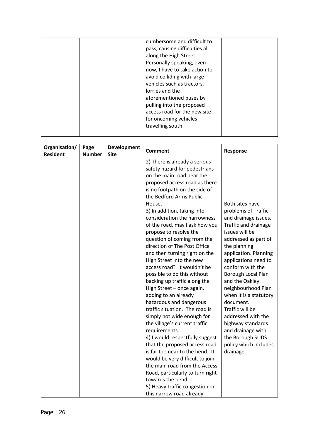| cumbersome and difficult to<br>pass, causing difficulties all<br>along the High Street.<br>Personally speaking, even<br>now, I have to take action to<br>avoid colliding with large<br>vehicles such as tractors,<br>lorries and the<br>aforementioned buses by<br>pulling into the proposed<br>access road for the new site<br>for oncoming vehicles<br>travelling south. |
|----------------------------------------------------------------------------------------------------------------------------------------------------------------------------------------------------------------------------------------------------------------------------------------------------------------------------------------------------------------------------|
|----------------------------------------------------------------------------------------------------------------------------------------------------------------------------------------------------------------------------------------------------------------------------------------------------------------------------------------------------------------------------|

| Organisation/<br><b>Resident</b> | Page<br><b>Number</b> | <b>Development</b><br><b>Site</b> | <b>Comment</b>                                                                                                                                                                                                                                                                                                                                                                                                                                                                                                                                                                                                                                                                                                                                                                                                                                                                                                                                                                                                                                              | Response                                                                                                                                                                                                                                                                                                                                                                                                                                                                |
|----------------------------------|-----------------------|-----------------------------------|-------------------------------------------------------------------------------------------------------------------------------------------------------------------------------------------------------------------------------------------------------------------------------------------------------------------------------------------------------------------------------------------------------------------------------------------------------------------------------------------------------------------------------------------------------------------------------------------------------------------------------------------------------------------------------------------------------------------------------------------------------------------------------------------------------------------------------------------------------------------------------------------------------------------------------------------------------------------------------------------------------------------------------------------------------------|-------------------------------------------------------------------------------------------------------------------------------------------------------------------------------------------------------------------------------------------------------------------------------------------------------------------------------------------------------------------------------------------------------------------------------------------------------------------------|
|                                  |                       |                                   | 2) There is already a serious<br>safety hazard for pedestrians<br>on the main road near the<br>proposed access road as there<br>is no footpath on the side of<br>the Bedford Arms Public<br>House.<br>3) In addition, taking into<br>consideration the narrowness<br>of the road, may I ask how you<br>propose to resolve the<br>question of coming from the<br>direction of The Post Office<br>and then turning right on the<br>High Street into the new<br>access road? It wouldn't be<br>possible to do this without<br>backing up traffic along the<br>High Street - once again,<br>adding to an already<br>hazardous and dangerous<br>traffic situation. The road is<br>simply not wide enough for<br>the village's current traffic<br>requirements.<br>4) I would respectfully suggest<br>that the proposed access road<br>is far too near to the bend. It<br>would be very difficult to join<br>the main road from the Access<br>Road, particularly to turn right<br>towards the bend.<br>5) Heavy traffic congestion on<br>this narrow road already | Both sites have<br>problems of Traffic<br>and drainage issues.<br>Traffic and drainage<br>issues will be<br>addressed as part of<br>the planning<br>application. Planning<br>applications need to<br>conform with the<br>Borough Local Plan<br>and the Oakley<br>neighbourhood Plan<br>when it is a statutory<br>document.<br>Traffic will be<br>addressed with the<br>highway standards<br>and drainage with<br>the Borough SUDS<br>policy which includes<br>drainage. |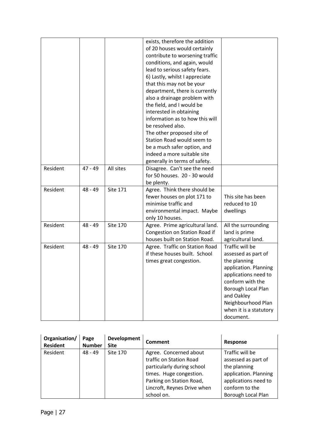|          |           |                 | exists, therefore the addition<br>of 20 houses would certainly<br>contribute to worsening traffic<br>conditions, and again, would<br>lead to serious safety fears.<br>6) Lastly, whilst I appreciate<br>that this may not be your<br>department, there is currently<br>also a drainage problem with<br>the field, and I would be<br>interested in obtaining<br>information as to how this will<br>be resolved also.<br>The other proposed site of<br>Station Road would seem to<br>be a much safer option, and |                                                                                                                                                                                                                              |
|----------|-----------|-----------------|----------------------------------------------------------------------------------------------------------------------------------------------------------------------------------------------------------------------------------------------------------------------------------------------------------------------------------------------------------------------------------------------------------------------------------------------------------------------------------------------------------------|------------------------------------------------------------------------------------------------------------------------------------------------------------------------------------------------------------------------------|
|          |           |                 | indeed a more suitable site<br>generally in terms of safety.                                                                                                                                                                                                                                                                                                                                                                                                                                                   |                                                                                                                                                                                                                              |
| Resident | $47 - 49$ | All sites       | Disagree. Can't see the need<br>for 50 houses. 20 - 30 would<br>be plenty.                                                                                                                                                                                                                                                                                                                                                                                                                                     |                                                                                                                                                                                                                              |
| Resident | $48 - 49$ | <b>Site 171</b> | Agree. Think there should be<br>fewer houses on plot 171 to<br>minimise traffic and<br>environmental impact. Maybe<br>only 10 houses.                                                                                                                                                                                                                                                                                                                                                                          | This site has been<br>reduced to 10<br>dwellings                                                                                                                                                                             |
| Resident | $48 - 49$ | <b>Site 170</b> | Agree. Prime agricultural land.<br>Congestion on Station Road if<br>houses built on Station Road.                                                                                                                                                                                                                                                                                                                                                                                                              | All the surrounding<br>land is prime<br>agricultural land.                                                                                                                                                                   |
| Resident | $48 - 49$ | <b>Site 170</b> | Agree. Traffic on Station Road<br>if these houses built. School<br>times great congestion.                                                                                                                                                                                                                                                                                                                                                                                                                     | Traffic will be<br>assessed as part of<br>the planning<br>application. Planning<br>applications need to<br>conform with the<br>Borough Local Plan<br>and Oakley<br>Neighbourhood Plan<br>when it is a statutory<br>document. |

| Organisation/<br><b>Resident</b> | Page<br><b>Number</b> | Development<br><b>Site</b> | Comment                     | Response                  |
|----------------------------------|-----------------------|----------------------------|-----------------------------|---------------------------|
| Resident                         | $48 - 49$             | Site 170                   | Agree. Concerned about      | Traffic will be           |
|                                  |                       |                            | traffic on Station Road     | assessed as part of       |
|                                  |                       |                            | particularly during school  | the planning              |
|                                  |                       |                            | times. Huge congestion.     | application. Planning     |
|                                  |                       |                            | Parking on Station Road,    | applications need to      |
|                                  |                       |                            | Lincroft, Reynes Drive when | conform to the            |
|                                  |                       |                            | school on.                  | <b>Borough Local Plan</b> |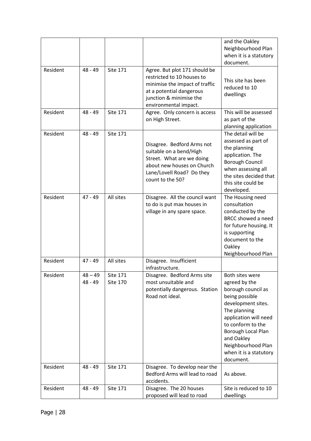|          |                        |                                    |                                                                                                                                                                               | and the Oakley<br>Neighbourhood Plan<br>when it is a statutory<br>document.                                                                                                                                                                                   |
|----------|------------------------|------------------------------------|-------------------------------------------------------------------------------------------------------------------------------------------------------------------------------|---------------------------------------------------------------------------------------------------------------------------------------------------------------------------------------------------------------------------------------------------------------|
| Resident | $48 - 49$              | <b>Site 171</b>                    | Agree. But plot 171 should be<br>restricted to 10 houses to<br>minimise the impact of traffic<br>at a potential dangerous<br>junction & minimise the<br>environmental impact. | This site has been<br>reduced to 10<br>dwellings                                                                                                                                                                                                              |
| Resident | $48 - 49$              | <b>Site 171</b>                    | Agree. Only concern is access<br>on High Street.                                                                                                                              | This will be assessed<br>as part of the<br>planning application                                                                                                                                                                                               |
| Resident | $48 - 49$              | <b>Site 171</b>                    | Disagree. Bedford Arms not<br>suitable on a bend/High<br>Street. What are we doing<br>about new houses on Church<br>Lane/Lovell Road? Do they<br>count to the 50?             | The detail will be<br>assessed as part of<br>the planning<br>application. The<br><b>Borough Council</b><br>when assessing all<br>the sites decided that<br>this site could be<br>developed.                                                                   |
| Resident | $47 - 49$              | All sites                          | Disagree. All the council want<br>to do is put max houses in<br>village in any spare space.                                                                                   | The Housing need<br>consultation<br>conducted by the<br><b>BRCC showed a need</b><br>for future housing. It<br>is supporting<br>document to the<br>Oakley<br>Neighbourhood Plan                                                                               |
| Resident | $47 - 49$              | All sites                          | Disagree. Insufficient<br>infrastructure.                                                                                                                                     |                                                                                                                                                                                                                                                               |
| Resident | $48 - 49$<br>$48 - 49$ | <b>Site 171</b><br><b>Site 170</b> | Disagree. Bedford Arms site<br>most unsuitable and<br>potentially dangerous. Station<br>Road not ideal.                                                                       | Both sites were<br>agreed by the<br>borough council as<br>being possible<br>development sites.<br>The planning<br>application will need<br>to conform to the<br>Borough Local Plan<br>and Oakley<br>Neighbourhood Plan<br>when it is a statutory<br>document. |
| Resident | $48 - 49$              | <b>Site 171</b>                    | Disagree. To develop near the<br>Bedford Arms will lead to road<br>accidents.                                                                                                 | As above.                                                                                                                                                                                                                                                     |
| Resident | $48 - 49$              | <b>Site 171</b>                    | Disagree. The 20 houses<br>proposed will lead to road                                                                                                                         | Site is reduced to 10<br>dwellings                                                                                                                                                                                                                            |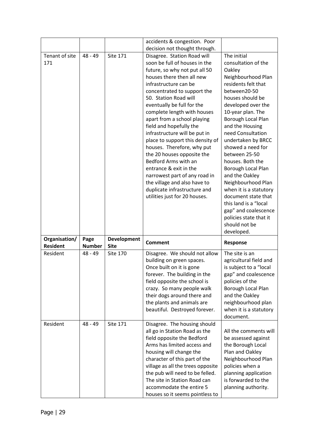|                                  |                       |                                   | accidents & congestion. Poor                               |                        |
|----------------------------------|-----------------------|-----------------------------------|------------------------------------------------------------|------------------------|
|                                  |                       |                                   | decision not thought through.                              |                        |
| Tenant of site                   | $48 - 49$             | <b>Site 171</b>                   | Disagree. Station Road will                                | The initial            |
| 171                              |                       |                                   | soon be full of houses in the                              | consultation of the    |
|                                  |                       |                                   | future, so why not put all 50                              | Oakley                 |
|                                  |                       |                                   | houses there then all new                                  | Neighbourhood Plan     |
|                                  |                       |                                   | infrastructure can be                                      | residents felt that    |
|                                  |                       |                                   | concentrated to support the                                | between20-50           |
|                                  |                       |                                   | 50. Station Road will                                      | houses should be       |
|                                  |                       |                                   | eventually be full for the                                 | developed over the     |
|                                  |                       |                                   | complete length with houses                                | 10-year plan. The      |
|                                  |                       |                                   | apart from a school playing                                | Borough Local Plan     |
|                                  |                       |                                   | field and hopefully the                                    | and the Housing        |
|                                  |                       |                                   | infrastructure will be put in                              | need Consultation      |
|                                  |                       |                                   | place to support this density of                           | undertaken by BRCC     |
|                                  |                       |                                   | houses. Therefore, why put                                 | showed a need for      |
|                                  |                       |                                   | the 20 houses opposite the                                 | between 25-50          |
|                                  |                       |                                   | Bedford Arms with an                                       | houses. Both the       |
|                                  |                       |                                   | entrance & exit in the                                     | Borough Local Plan     |
|                                  |                       |                                   | narrowest part of any road in                              | and the Oakley         |
|                                  |                       |                                   | the village and also have to                               | Neighbourhood Plan     |
|                                  |                       |                                   | duplicate infrastructure and                               | when it is a statutory |
|                                  |                       |                                   | utilities just for 20 houses.                              | document state that    |
|                                  |                       |                                   |                                                            | this land is a "local  |
|                                  |                       |                                   |                                                            | gap" and coalescence   |
|                                  |                       |                                   |                                                            |                        |
|                                  |                       |                                   |                                                            | policies state that it |
|                                  |                       |                                   |                                                            | should not be          |
|                                  |                       |                                   |                                                            | developed.             |
| Organisation/<br><b>Resident</b> | Page<br><b>Number</b> | <b>Development</b><br><b>Site</b> | <b>Comment</b>                                             | <b>Response</b>        |
| Resident                         | 48 - 49               | <b>Site 170</b>                   |                                                            | The site is an         |
|                                  |                       |                                   | Disagree. We should not allow<br>building on green spaces. | agricultural field and |
|                                  |                       |                                   | Once built on it is gone                                   | is subject to a "local |
|                                  |                       |                                   | forever. The building in the                               | gap" and coalescence   |
|                                  |                       |                                   | field opposite the school is                               | policies of the        |
|                                  |                       |                                   | crazy. So many people walk                                 | Borough Local Plan     |
|                                  |                       |                                   | their dogs around there and                                | and the Oakley         |
|                                  |                       |                                   | the plants and animals are                                 | neighbourhood plan     |
|                                  |                       |                                   | beautiful. Destroyed forever.                              | when it is a statutory |
|                                  |                       |                                   |                                                            | document.              |
| Resident                         | $48 - 49$             | <b>Site 171</b>                   | Disagree. The housing should                               |                        |
|                                  |                       |                                   | all go in Station Road as the                              | All the comments will  |
|                                  |                       |                                   | field opposite the Bedford                                 | be assessed against    |
|                                  |                       |                                   | Arms has limited access and                                | the Borough Local      |
|                                  |                       |                                   | housing will change the                                    | Plan and Oakley        |
|                                  |                       |                                   | character of this part of the                              | Neighbourhood Plan     |
|                                  |                       |                                   | village as all the trees opposite                          | policies when a        |
|                                  |                       |                                   | the pub will need to be felled.                            | planning application   |
|                                  |                       |                                   | The site in Station Road can                               | is forwarded to the    |
|                                  |                       |                                   | accommodate the entire 5                                   | planning authority.    |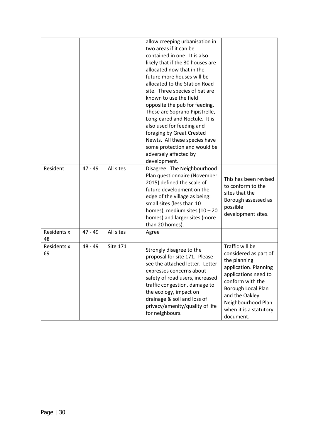|                   |           |                 | allow creeping urbanisation in<br>two areas if it can be<br>contained in one. It is also<br>likely that if the 30 houses are<br>allocated now that in the<br>future more houses will be<br>allocated to the Station Road<br>site. Three species of bat are<br>known to use the field<br>opposite the pub for feeding.<br>These are Soprano Pipistrelle,<br>Long-eared and Noctule. It is<br>also used for feeding and<br>foraging by Great Crested<br>Newts. All these species have<br>some protection and would be<br>adversely affected by<br>development. |                                                                                                                                                                                                                                    |
|-------------------|-----------|-----------------|--------------------------------------------------------------------------------------------------------------------------------------------------------------------------------------------------------------------------------------------------------------------------------------------------------------------------------------------------------------------------------------------------------------------------------------------------------------------------------------------------------------------------------------------------------------|------------------------------------------------------------------------------------------------------------------------------------------------------------------------------------------------------------------------------------|
| Resident          | $47 - 49$ | All sites       | Disagree. The Neighbourhood<br>Plan questionnaire (November<br>2015) defined the scale of<br>future development on the<br>edge of the village as being:<br>small sites (less than 10<br>homes), medium sites $(10 - 20)$<br>homes) and larger sites (more<br>than 20 homes).                                                                                                                                                                                                                                                                                 | This has been revised<br>to conform to the<br>sites that the<br>Borough assessed as<br>possible<br>development sites.                                                                                                              |
| Residents x<br>48 | $47 - 49$ | All sites       | Agree                                                                                                                                                                                                                                                                                                                                                                                                                                                                                                                                                        |                                                                                                                                                                                                                                    |
| Residents x<br>69 | 48 - 49   | <b>Site 171</b> | Strongly disagree to the<br>proposal for site 171. Please<br>see the attached letter. Letter<br>expresses concerns about<br>safety of road users, increased<br>traffic congestion, damage to<br>the ecology, impact on<br>drainage & soil and loss of<br>privacy/amenity/quality of life<br>for neighbours.                                                                                                                                                                                                                                                  | Traffic will be<br>considered as part of<br>the planning<br>application. Planning<br>applications need to<br>conform with the<br>Borough Local Plan<br>and the Oakley<br>Neighbourhood Plan<br>when it is a statutory<br>document. |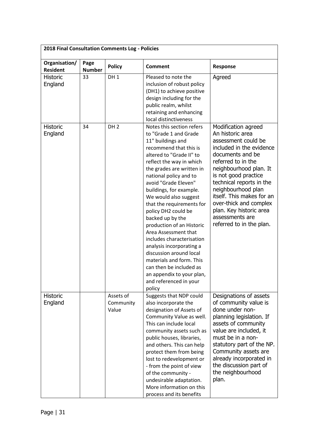| 2018 Final Consultation Comments Log - Policies |                       |                                 |                                                                                                                                                                                                                                                                                                                                                                                                                                                                                                                                                                                                                                       |                                                                                                                                                                                                                                                                                                                                                                           |
|-------------------------------------------------|-----------------------|---------------------------------|---------------------------------------------------------------------------------------------------------------------------------------------------------------------------------------------------------------------------------------------------------------------------------------------------------------------------------------------------------------------------------------------------------------------------------------------------------------------------------------------------------------------------------------------------------------------------------------------------------------------------------------|---------------------------------------------------------------------------------------------------------------------------------------------------------------------------------------------------------------------------------------------------------------------------------------------------------------------------------------------------------------------------|
| Organisation/<br><b>Resident</b>                | Page<br><b>Number</b> | <b>Policy</b>                   | <b>Comment</b>                                                                                                                                                                                                                                                                                                                                                                                                                                                                                                                                                                                                                        | Response                                                                                                                                                                                                                                                                                                                                                                  |
| <b>Historic</b><br>England                      | 33                    | DH <sub>1</sub>                 | Pleased to note the<br>inclusion of robust policy<br>(DH1) to achieve positive<br>design including for the<br>public realm, whilst<br>retaining and enhancing<br>local distinctiveness                                                                                                                                                                                                                                                                                                                                                                                                                                                | Agreed                                                                                                                                                                                                                                                                                                                                                                    |
| <b>Historic</b><br>England                      | 34                    | DH <sub>2</sub>                 | Notes this section refers<br>to "Grade 1 and Grade<br>11" buildings and<br>recommend that this is<br>altered to "Grade II" to<br>reflect the way in which<br>the grades are written in<br>national policy and to<br>avoid "Grade Eleven"<br>buildings, for example.<br>We would also suggest<br>that the requirements for<br>policy DH2 could be<br>backed up by the<br>production of an Historic<br>Area Assessment that<br>includes characterisation<br>analysis incorporating a<br>discussion around local<br>materials and form. This<br>can then be included as<br>an appendix to your plan,<br>and referenced in your<br>policy | Modification agreed<br>An historic area<br>assessment could be<br>included in the evidence<br>documents and be<br>referred to in the<br>neighbourhood plan. It<br>is not good practice<br>technical reports in the<br>neighbourhood plan<br>itself. This makes for an<br>over-thick and complex<br>plan. Key historic area<br>assessments are<br>referred to in the plan. |
| Historic<br>England                             |                       | Assets of<br>Community<br>Value | Suggests that NDP could<br>also incorporate the<br>designation of Assets of<br>Community Value as well.<br>This can include local<br>community assets such as<br>public houses, libraries,<br>and others. This can help<br>protect them from being<br>lost to redevelopment or<br>- from the point of view<br>of the community -<br>undesirable adaptation.<br>More information on this<br>process and its benefits                                                                                                                                                                                                                   | Designations of assets<br>of community value is<br>done under non-<br>planning legislation. If<br>assets of community<br>value are included, it<br>must be in a non-<br>statutory part of the NP.<br>Community assets are<br>already incorporated in<br>the discussion part of<br>the neighbourhood<br>plan.                                                              |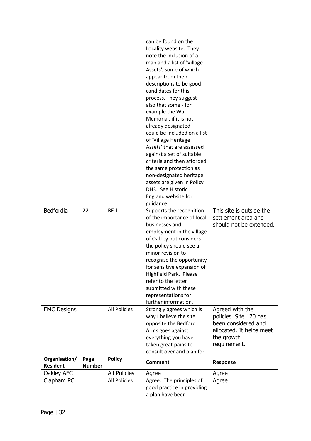| Bedfordia                        | 22                    | <b>BE1</b>          | can be found on the<br>Locality website. They<br>note the inclusion of a<br>map and a list of 'Village<br>Assets', some of which<br>appear from their<br>descriptions to be good<br>candidates for this<br>process. They suggest<br>also that some - for<br>example the War<br>Memorial, if it is not<br>already designated -<br>could be included on a list<br>of 'Village Heritage<br>Assets' that are assessed<br>against a set of suitable<br>criteria and then afforded<br>the same protection as<br>non-designated heritage<br>assets are given in Policy<br>DH3. See Historic<br>England website for<br>guidance.<br>Supports the recognition<br>of the importance of local<br>businesses and | This site is outside the<br>settlement area and<br>should not be extended.                                                 |
|----------------------------------|-----------------------|---------------------|------------------------------------------------------------------------------------------------------------------------------------------------------------------------------------------------------------------------------------------------------------------------------------------------------------------------------------------------------------------------------------------------------------------------------------------------------------------------------------------------------------------------------------------------------------------------------------------------------------------------------------------------------------------------------------------------------|----------------------------------------------------------------------------------------------------------------------------|
|                                  |                       |                     | employment in the village<br>of Oakley but considers<br>the policy should see a<br>minor revision to<br>recognise the opportunity<br>for sensitive expansion of<br>Highfield Park. Please<br>refer to the letter<br>submitted with these<br>representations for                                                                                                                                                                                                                                                                                                                                                                                                                                      |                                                                                                                            |
|                                  |                       |                     | further information.                                                                                                                                                                                                                                                                                                                                                                                                                                                                                                                                                                                                                                                                                 |                                                                                                                            |
| <b>EMC Designs</b>               |                       | <b>All Policies</b> | Strongly agrees which is<br>why I believe the site<br>opposite the Bedford<br>Arms goes against<br>everything you have<br>taken great pains to<br>consult over and plan for.                                                                                                                                                                                                                                                                                                                                                                                                                                                                                                                         | Agreed with the<br>policies. Site 170 has<br>been considered and<br>allocated. It helps meet<br>the growth<br>requirement. |
| Organisation/<br><b>Resident</b> | Page<br><b>Number</b> | <b>Policy</b>       | <b>Comment</b>                                                                                                                                                                                                                                                                                                                                                                                                                                                                                                                                                                                                                                                                                       | Response                                                                                                                   |
| Oakley AFC                       |                       | <b>All Policies</b> | Agree                                                                                                                                                                                                                                                                                                                                                                                                                                                                                                                                                                                                                                                                                                | Agree                                                                                                                      |
| Clapham PC                       |                       | All Policies        | Agree. The principles of                                                                                                                                                                                                                                                                                                                                                                                                                                                                                                                                                                                                                                                                             | Agree                                                                                                                      |
|                                  |                       |                     | good practice in providing                                                                                                                                                                                                                                                                                                                                                                                                                                                                                                                                                                                                                                                                           |                                                                                                                            |
|                                  |                       |                     | a plan have been                                                                                                                                                                                                                                                                                                                                                                                                                                                                                                                                                                                                                                                                                     |                                                                                                                            |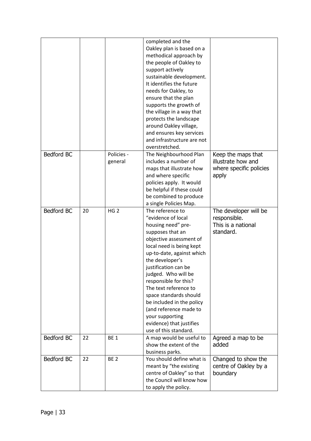|            |    |                       | completed and the<br>Oakley plan is based on a<br>methodical approach by<br>the people of Oakley to<br>support actively<br>sustainable development.<br>It identifies the future<br>needs for Oakley, to<br>ensure that the plan<br>supports the growth of<br>the village in a way that<br>protects the landscape<br>around Oakley village,<br>and ensures key services<br>and infrastructure are not<br>overstretched.                            |                                                                              |
|------------|----|-----------------------|---------------------------------------------------------------------------------------------------------------------------------------------------------------------------------------------------------------------------------------------------------------------------------------------------------------------------------------------------------------------------------------------------------------------------------------------------|------------------------------------------------------------------------------|
| Bedford BC |    | Policies -<br>general | The Neighbourhood Plan<br>includes a number of<br>maps that illustrate how<br>and where specific<br>policies apply. It would<br>be helpful if these could<br>be combined to produce<br>a single Policies Map.                                                                                                                                                                                                                                     | Keep the maps that<br>illustrate how and<br>where specific policies<br>apply |
| Bedford BC | 20 | HG <sub>2</sub>       | The reference to<br>"evidence of local<br>housing need" pre-<br>supposes that an<br>objective assessment of<br>local need is being kept<br>up-to-date, against which<br>the developer's<br>justification can be<br>judged. Who will be<br>responsible for this?<br>The text reference to<br>space standards should<br>be included in the policy<br>(and reference made to<br>your supporting<br>evidence) that justifies<br>use of this standard. | The developer will be<br>responsible.<br>This is a national<br>standard.     |
| Bedford BC | 22 | <b>BE1</b>            | A map would be useful to<br>show the extent of the<br>business parks.                                                                                                                                                                                                                                                                                                                                                                             | Agreed a map to be<br>added                                                  |
| Bedford BC | 22 | <b>BE 2</b>           | You should define what is<br>meant by "the existing<br>centre of Oakley" so that<br>the Council will know how<br>to apply the policy.                                                                                                                                                                                                                                                                                                             | Changed to show the<br>centre of Oakley by a<br>boundary                     |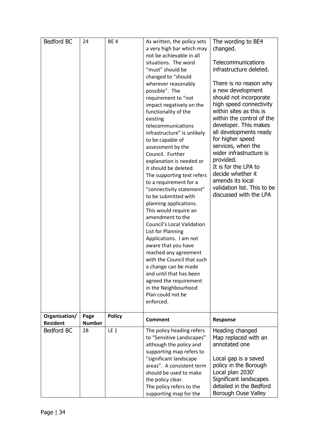| Bedford BC                       | 24                    | BE <sub>4</sub> | As written, the policy sets<br>a very high bar which may<br>not be achievable in all<br>situations. The word<br>"must" should be<br>changed to "should<br>wherever reasonably<br>possible". The<br>requirement to "not<br>impact negatively on the<br>functionality of the<br>existing<br>telecommunications<br>infrastructure" is unlikely<br>to be capable of<br>assessment by the<br>Council. Further<br>explanation is needed or<br>it should be deleted.<br>The supporting text refers<br>to a requirement for a<br>"connectivity statement"<br>to be submitted with<br>planning applications.<br>This would require an<br>amendment to the<br><b>Council's Local Validation</b><br>List for Planning<br>Applications. I am not<br>aware that you have<br>reached any agreement<br>with the Council that such<br>a change can be made<br>and until that has been<br>agreed the requirement<br>in the Neighbourhood<br>Plan could not be<br>enforced. | The wording to BE4<br>changed.<br>Telecommunications<br>infrastructure deleted.<br>There is no reason why<br>a new development<br>should not incorporate<br>high speed connectivity<br>within sites as this is<br>within the control of the<br>developer. This makes<br>all developments ready<br>for higher speed<br>services, when the<br>wider infrastructure is<br>provided.<br>It is for the LPA to<br>decide whether it<br>amends its local<br>validation list. This to be<br>discussed with the LPA |
|----------------------------------|-----------------------|-----------------|-----------------------------------------------------------------------------------------------------------------------------------------------------------------------------------------------------------------------------------------------------------------------------------------------------------------------------------------------------------------------------------------------------------------------------------------------------------------------------------------------------------------------------------------------------------------------------------------------------------------------------------------------------------------------------------------------------------------------------------------------------------------------------------------------------------------------------------------------------------------------------------------------------------------------------------------------------------|------------------------------------------------------------------------------------------------------------------------------------------------------------------------------------------------------------------------------------------------------------------------------------------------------------------------------------------------------------------------------------------------------------------------------------------------------------------------------------------------------------|
| Organisation/<br><b>Resident</b> | Page<br><b>Number</b> | <b>Policy</b>   | <b>Comment</b>                                                                                                                                                                                                                                                                                                                                                                                                                                                                                                                                                                                                                                                                                                                                                                                                                                                                                                                                            | Response                                                                                                                                                                                                                                                                                                                                                                                                                                                                                                   |
| Bedford BC                       | 28                    | LE <sub>1</sub> | The policy heading refers<br>to "Sensitive Landscapes"<br>although the policy and<br>supporting map refers to<br>"significant landscape<br>areas". A consistent term<br>should be used to make<br>the policy clear.<br>The policy refers to the<br>supporting map for the                                                                                                                                                                                                                                                                                                                                                                                                                                                                                                                                                                                                                                                                                 | Heading changed<br>Map replaced with an<br>annotated one<br>Local gap is a saved<br>policy in the Borough<br>Local plan 2030'<br>Significant landscapes<br>detailed in the Bedford<br>Borough Ouse Valley                                                                                                                                                                                                                                                                                                  |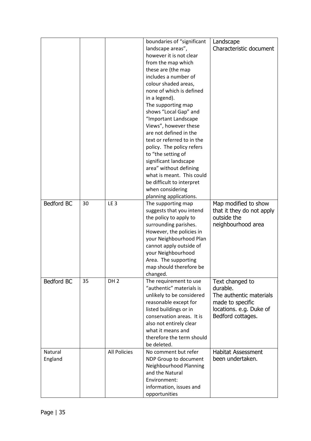|                    |    |                     | boundaries of "significant<br>landscape areas",<br>however it is not clear<br>from the map which<br>these are (the map<br>includes a number of<br>colour shaded areas,<br>none of which is defined<br>in a legend).<br>The supporting map<br>shows "Local Gap" and<br>"Important Landscape<br>Views", however these<br>are not defined in the | Landscape<br>Characteristic document                                                                                       |
|--------------------|----|---------------------|-----------------------------------------------------------------------------------------------------------------------------------------------------------------------------------------------------------------------------------------------------------------------------------------------------------------------------------------------|----------------------------------------------------------------------------------------------------------------------------|
|                    |    |                     | text or referred to in the<br>policy. The policy refers<br>to "the setting of<br>significant landscape<br>area" without defining<br>what is meant. This could<br>be difficult to interpret<br>when considering<br>planning applications.                                                                                                      |                                                                                                                            |
| Bedford BC         | 30 | LE <sub>3</sub>     | The supporting map<br>suggests that you intend<br>the policy to apply to<br>surrounding parishes.<br>However, the policies in<br>your Neighbourhood Plan<br>cannot apply outside of<br>your Neighbourhood<br>Area. The supporting<br>map should therefore be<br>changed.                                                                      | Map modified to show<br>that it they do not apply<br>outside the<br>neighbourhood area                                     |
| <b>Bedford BC</b>  | 35 | DH <sub>2</sub>     | The requirement to use<br>"authentic" materials is<br>unlikely to be considered<br>reasonable except for<br>listed buildings or in<br>conservation areas. It is<br>also not entirely clear<br>what it means and<br>therefore the term should<br>be deleted.                                                                                   | Text changed to<br>durable.<br>The authentic materials<br>made to specific<br>locations. e.g. Duke of<br>Bedford cottages. |
| Natural<br>England |    | <b>All Policies</b> | No comment but refer<br>NDP Group to document<br>Neighbourhood Planning<br>and the Natural<br>Environment:<br>information, issues and<br>opportunities                                                                                                                                                                                        | <b>Habitat Assessment</b><br>been undertaken.                                                                              |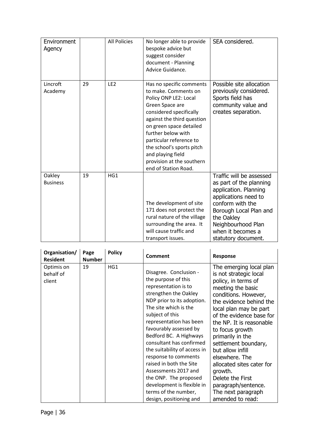| Environment<br>Agency     |    | <b>All Policies</b> | No longer able to provide<br>bespoke advice but<br>suggest consider<br>document - Planning<br>Advice Guidance.                                                                                                                                                                                                                           | SEA considered.                                                                                                                                                                                                                    |
|---------------------------|----|---------------------|------------------------------------------------------------------------------------------------------------------------------------------------------------------------------------------------------------------------------------------------------------------------------------------------------------------------------------------|------------------------------------------------------------------------------------------------------------------------------------------------------------------------------------------------------------------------------------|
| Lincroft<br>Academy       | 29 | LE <sub>2</sub>     | Has no specific comments<br>to make. Comments on<br>Policy ONP LE2: Local<br>Green Space are<br>considered specifically<br>against the third question<br>on green space detailed<br>further below with<br>particular reference to<br>the school's sports pitch<br>and playing field<br>provision at the southern<br>end of Station Road. | Possible site allocation<br>previously considered.<br>Sports field has<br>community value and<br>creates separation.                                                                                                               |
| Oakley<br><b>Business</b> | 19 | HG1                 | The development of site<br>171 does not protect the<br>rural nature of the village<br>surrounding the area. It<br>will cause traffic and<br>transport issues.                                                                                                                                                                            | Traffic will be assessed<br>as part of the planning<br>application. Planning<br>applications need to<br>conform with the<br>Borough Local Plan and<br>the Oakley<br>Neighbourhood Plan<br>when it becomes a<br>statutory document. |

| Organisation/<br><b>Resident</b>  | Page<br><b>Number</b> | <b>Policy</b> | Comment                                                                                                                                                                                                                                                                                                                                                                                                                                                                                                  | <b>Response</b>                                                                                                                                                                                                                                                                                                                                                                                                                                                      |
|-----------------------------------|-----------------------|---------------|----------------------------------------------------------------------------------------------------------------------------------------------------------------------------------------------------------------------------------------------------------------------------------------------------------------------------------------------------------------------------------------------------------------------------------------------------------------------------------------------------------|----------------------------------------------------------------------------------------------------------------------------------------------------------------------------------------------------------------------------------------------------------------------------------------------------------------------------------------------------------------------------------------------------------------------------------------------------------------------|
| Optimis on<br>behalf of<br>client | 19                    | HG1           | Disagree. Conclusion -<br>the purpose of this<br>representation is to<br>strengthen the Oakley<br>NDP prior to its adoption.<br>The site which is the<br>subject of this<br>representation has been<br>favourably assessed by<br>Bedford BC. A Highways<br>consultant has confirmed<br>the suitability of access in<br>response to comments<br>raised in both the Site<br>Assessments 2017 and<br>the ONP. The proposed<br>development is flexible in<br>terms of the number,<br>design, positioning and | The emerging local plan<br>is not strategic local<br>policy, in terms of<br>meeting the basic<br>conditions. However,<br>the evidence behind the<br>local plan may be part<br>of the evidence base for<br>the NP. It is reasonable<br>to focus growth<br>primarily in the<br>settlement boundary,<br>but allow infill<br>elsewhere. The<br>allocated sites cater for<br>growth.<br>Delete the First<br>paragraph/sentence.<br>The next paragraph<br>amended to read: |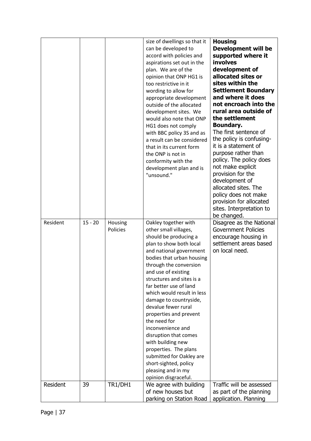|          |           |                     | size of dwellings so that it<br>can be developed to<br>accord with policies and<br>aspirations set out in the<br>plan. We are of the<br>opinion that ONP HG1 is<br>too restrictive in it<br>wording to allow for<br>appropriate development<br>outside of the allocated<br>development sites. We<br>would also note that ONP<br>HG1 does not comply<br>with BBC policy 3S and as<br>a result can be considered<br>that in its current form<br>the ONP is not in<br>conformity with the<br>development plan and is<br>"unsound."                                                           | <b>Housing</b><br><b>Development will be</b><br>supported where it<br>involves<br>development of<br>allocated sites or<br>sites within the<br><b>Settlement Boundary</b><br>and where it does<br>not encroach into the<br>rural area outside of<br>the settlement<br><b>Boundary.</b><br>The first sentence of<br>the policy is confusing-<br>it is a statement of<br>purpose rather than<br>policy. The policy does<br>not make explicit<br>provision for the<br>development of<br>allocated sites. The<br>policy does not make<br>provision for allocated<br>sites. Interpretation to<br>be changed. |
|----------|-----------|---------------------|-------------------------------------------------------------------------------------------------------------------------------------------------------------------------------------------------------------------------------------------------------------------------------------------------------------------------------------------------------------------------------------------------------------------------------------------------------------------------------------------------------------------------------------------------------------------------------------------|--------------------------------------------------------------------------------------------------------------------------------------------------------------------------------------------------------------------------------------------------------------------------------------------------------------------------------------------------------------------------------------------------------------------------------------------------------------------------------------------------------------------------------------------------------------------------------------------------------|
| Resident | $15 - 20$ | Housing<br>Policies | Oakley together with<br>other small villages,<br>should be producing a<br>plan to show both local<br>and national government<br>bodies that urban housing<br>through the conversion<br>and use of existing<br>structures and sites is a<br>far better use of land<br>which would result in less<br>damage to countryside,<br>devalue fewer rural<br>properties and prevent<br>the need for<br>inconvenience and<br>disruption that comes<br>with building new<br>properties. The plans<br>submitted for Oakley are<br>short-sighted, policy<br>pleasing and in my<br>opinion disgraceful. | Disagree as the National<br><b>Government Policies</b><br>encourage housing in<br>settlement areas based<br>on local need.                                                                                                                                                                                                                                                                                                                                                                                                                                                                             |
| Resident | 39        | TR1/DH1             | We agree with building<br>of new houses but<br>parking on Station Road                                                                                                                                                                                                                                                                                                                                                                                                                                                                                                                    | Traffic will be assessed<br>as part of the planning<br>application. Planning                                                                                                                                                                                                                                                                                                                                                                                                                                                                                                                           |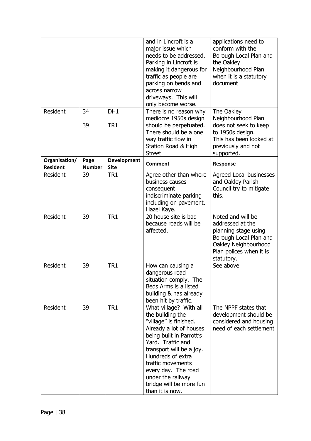|                                  |                       |                                   | and in Lincroft is a<br>major issue which<br>needs to be addressed.<br>Parking in Lincroft is<br>making it dangerous for<br>traffic as people are<br>parking on bends and<br>across narrow<br>driveways. This will<br>only become worse.                                                                         | applications need to<br>conform with the<br>Borough Local Plan and<br>the Oakley<br>Neighbourhood Plan<br>when it is a statutory<br>document             |
|----------------------------------|-----------------------|-----------------------------------|------------------------------------------------------------------------------------------------------------------------------------------------------------------------------------------------------------------------------------------------------------------------------------------------------------------|----------------------------------------------------------------------------------------------------------------------------------------------------------|
| Resident                         | 34<br>39              | DH1<br>TR <sub>1</sub>            | There is no reason why<br>mediocre 1950s design<br>should be perpetuated.<br>There should be a one<br>way traffic flow in<br>Station Road & High<br><b>Street</b>                                                                                                                                                | The Oakley<br>Neighbourhood Plan<br>does not seek to keep<br>to 1950s design.<br>This has been looked at<br>previously and not<br>supported.             |
| Organisation/<br><b>Resident</b> | Page<br><b>Number</b> | <b>Development</b><br><b>Site</b> | <b>Comment</b>                                                                                                                                                                                                                                                                                                   | Response                                                                                                                                                 |
| Resident                         | 39                    | TR <sub>1</sub>                   | Agree other than where<br>business causes<br>consequent<br>indiscriminate parking<br>including on pavement.<br>Hazel Kaye.                                                                                                                                                                                       | Agreed Local businesses<br>and Oakley Parish<br>Council try to mitigate<br>this.                                                                         |
| Resident                         | 39                    | TR <sub>1</sub>                   | 20 house site is bad<br>because roads will be<br>affected.                                                                                                                                                                                                                                                       | Noted and will be<br>addressed at the<br>planning stage using<br>Borough Local Plan and<br>Oakley Neighbourhood<br>Plan polices when it is<br>statutory. |
| Resident                         | 39                    | TR <sub>1</sub>                   | How can causing a<br>dangerous road<br>situation comply. The<br>Beds Arms is a listed<br>building & has already<br>been hit by traffic.                                                                                                                                                                          | See above                                                                                                                                                |
| Resident                         | 39                    | TR <sub>1</sub>                   | What village? With all<br>the building the<br>"village" is finished.<br>Already a lot of houses<br>being built in Parrott's<br>Yard. Traffic and<br>transport will be a joy.<br>Hundreds of extra<br>traffic movements<br>every day. The road<br>under the railway<br>bridge will be more fun<br>than it is now. | The NPPF states that<br>development should be<br>considered and housing<br>need of each settlement                                                       |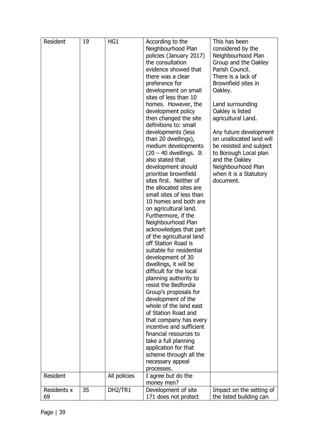| Resident    | 19 | HG1          | According to the<br>Neighbourhood Plan<br>policies (January 2017)<br>the consultation<br>evidence showed that<br>there was a clear<br>preference for<br>development on small<br>sites of less than 10<br>homes. However, the<br>development policy<br>then changed the site<br>definitions to: small<br>developments (less<br>than 20 dwellings),<br>medium developments<br>$(20 - 40$ dwellings. It<br>also stated that<br>development should<br>prioritise brownfield<br>sites first. Neither of<br>the allocated sites are<br>small sites of less than<br>10 homes and both are<br>on agricultural land.<br>Furthermore, if the<br>Neighbourhood Plan<br>acknowledges that part<br>of the agricultural land<br>off Station Road is<br>suitable for residential<br>development of 30<br>dwellings, it will be<br>difficult for the local<br>planning authority to<br>resist the Bedfordia<br>Group's proposals for<br>development of the<br>whole of the land east<br>of Station Road and<br>that company has every<br>incentive and sufficient<br>financial resources to<br>take a full planning<br>application for that<br>scheme through all the<br>necessary appeal<br>processes. | This has been<br>considered by the<br>Neighbourhood Plan<br>Group and the Oakley<br>Parish Council.<br>There is a lack of<br>Brownfield sites in<br>Oakley.<br>Land surrounding<br>Oakley is listed<br>agricultural Land.<br>Any future development<br>on unallocated land will<br>be resisted and subject<br>to Borough Local plan<br>and the Oakley<br>Neighbourhood Plan<br>when it is a Statutory<br>document. |
|-------------|----|--------------|-----------------------------------------------------------------------------------------------------------------------------------------------------------------------------------------------------------------------------------------------------------------------------------------------------------------------------------------------------------------------------------------------------------------------------------------------------------------------------------------------------------------------------------------------------------------------------------------------------------------------------------------------------------------------------------------------------------------------------------------------------------------------------------------------------------------------------------------------------------------------------------------------------------------------------------------------------------------------------------------------------------------------------------------------------------------------------------------------------------------------------------------------------------------------------------------|--------------------------------------------------------------------------------------------------------------------------------------------------------------------------------------------------------------------------------------------------------------------------------------------------------------------------------------------------------------------------------------------------------------------|
| Resident    |    | All policies | I agree but do the<br>money men?                                                                                                                                                                                                                                                                                                                                                                                                                                                                                                                                                                                                                                                                                                                                                                                                                                                                                                                                                                                                                                                                                                                                                        |                                                                                                                                                                                                                                                                                                                                                                                                                    |
| Residents x | 35 | DH2/TR1      | Development of site                                                                                                                                                                                                                                                                                                                                                                                                                                                                                                                                                                                                                                                                                                                                                                                                                                                                                                                                                                                                                                                                                                                                                                     | Impact on the setting of                                                                                                                                                                                                                                                                                                                                                                                           |
| 69          |    |              | 171 does not protect                                                                                                                                                                                                                                                                                                                                                                                                                                                                                                                                                                                                                                                                                                                                                                                                                                                                                                                                                                                                                                                                                                                                                                    | the listed building can                                                                                                                                                                                                                                                                                                                                                                                            |